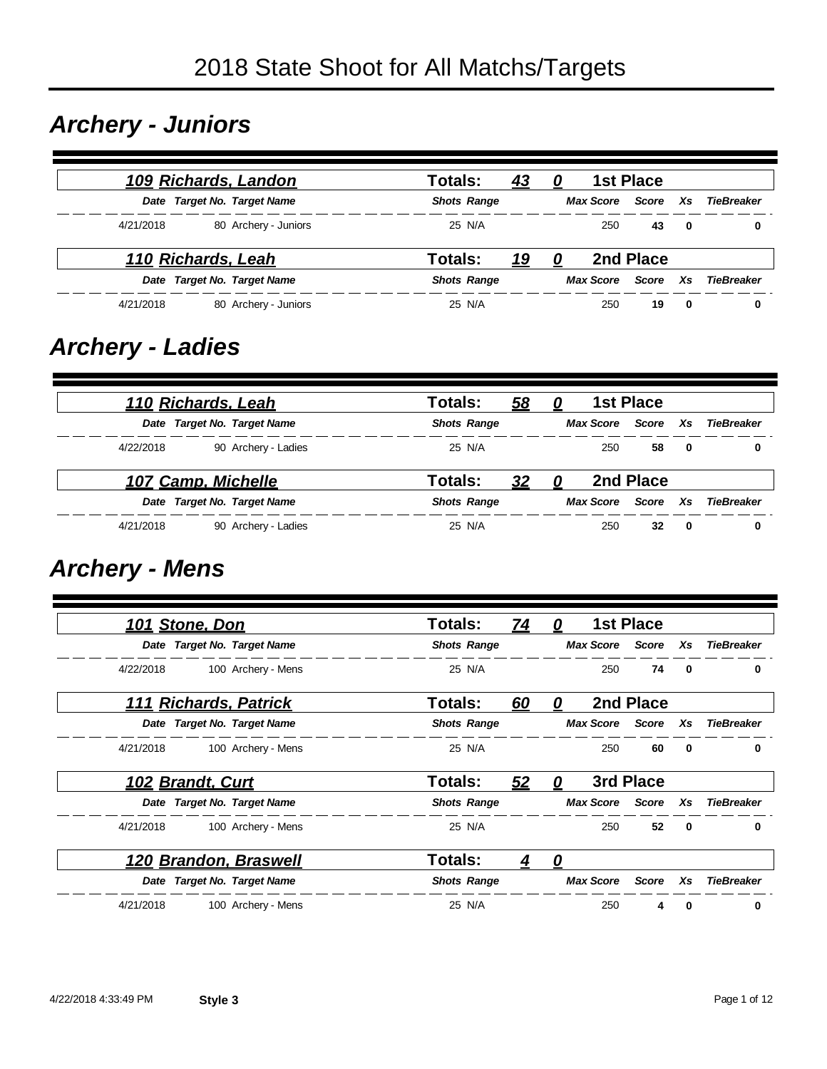#### *Archery - Juniors*

|           |                    | 109 Richards, Landon        | Totals:<br><u>43</u>  |   |                  | <b>1st Place</b> |              |            |
|-----------|--------------------|-----------------------------|-----------------------|---|------------------|------------------|--------------|------------|
|           |                    | Date Target No. Target Name | <b>Shots Range</b>    |   | Max Score        | Score Xs         |              | TieBreaker |
| 4/21/2018 |                    | 80 Archery - Juniors        | 25 N/A                |   | 250              | 43               | $\mathbf{0}$ | 0          |
|           | 110 Richards, Leah |                             | Totals:<br><u> 19</u> | 0 |                  | 2nd Place        |              |            |
|           |                    | Date Target No. Target Name | <b>Shots Range</b>    |   | <b>Max Score</b> | Score            | Xs           | TieBreaker |
| 4/21/2018 |                    | 80 Archery - Juniors        | 25 N/A                |   | 250              | 19               | - 0          | 0          |

#### *Archery - Ladies*

|           | 110 Richards, Leah |                             | Totals:            | 58 | 0 |                  | <b>1st Place</b> |              |                   |
|-----------|--------------------|-----------------------------|--------------------|----|---|------------------|------------------|--------------|-------------------|
|           |                    | Date Target No. Target Name | <b>Shots Range</b> |    |   | <b>Max Score</b> | Score            | Xs.          | <b>TieBreaker</b> |
| 4/22/2018 |                    | 90 Archery - Ladies         | 25 N/A             |    |   | 250              | 58               | $\bf{0}$     | 0                 |
|           | 107 Camp, Michelle |                             | Totals:            | 32 |   |                  | 2nd Place        |              |                   |
|           |                    | Date Target No. Target Name | <b>Shots Range</b> |    |   | <b>Max Score</b> | Score            | Xs.          | <b>TieBreaker</b> |
| 4/21/2018 |                    | 90 Archery - Ladies         | 25 N/A             |    |   | 250              | 32               | $\mathbf{0}$ | 0                 |

## *Archery - Mens*

|           | 101 Stone, Don          |                             | <b>Totals:</b>     | 74 | 0 |                  | <b>1st Place</b> |              |                   |
|-----------|-------------------------|-----------------------------|--------------------|----|---|------------------|------------------|--------------|-------------------|
|           |                         | Date Target No. Target Name | <b>Shots Range</b> |    |   | <b>Max Score</b> | <b>Score</b>     | Xs           | <b>TieBreaker</b> |
| 4/22/2018 |                         | 100 Archery - Mens          | 25 N/A             |    |   | 250              | 74               | $\mathbf 0$  | 0                 |
| 111       |                         | <b>Richards, Patrick</b>    | Totals:            | 60 | 0 |                  | 2nd Place        |              |                   |
|           |                         | Date Target No. Target Name | <b>Shots Range</b> |    |   | <b>Max Score</b> | Score            | Xs           | <b>TieBreaker</b> |
| 4/21/2018 |                         | 100 Archery - Mens          | 25 N/A             |    |   | 250              | 60               | 0            | 0                 |
|           | <b>102 Brandt, Curt</b> |                             | <b>Totals:</b>     | 52 | 0 |                  | 3rd Place        |              |                   |
|           |                         | Date Target No. Target Name | <b>Shots Range</b> |    |   | <b>Max Score</b> | Score            | Xs           | <b>TieBreaker</b> |
| 4/21/2018 |                         | 100 Archery - Mens          | 25 N/A             |    |   | 250              | 52               | $\mathbf{0}$ | 0                 |
|           |                         | 120 Brandon, Braswell       | <b>Totals:</b>     |    | 0 |                  |                  |              |                   |
|           |                         | Date Target No. Target Name | <b>Shots Range</b> |    |   | <b>Max Score</b> | <b>Score</b>     | Xs           | <b>TieBreaker</b> |
| 4/21/2018 |                         | 100 Archery - Mens          | 25 N/A             |    |   | 250              | 4                | 0            | 0                 |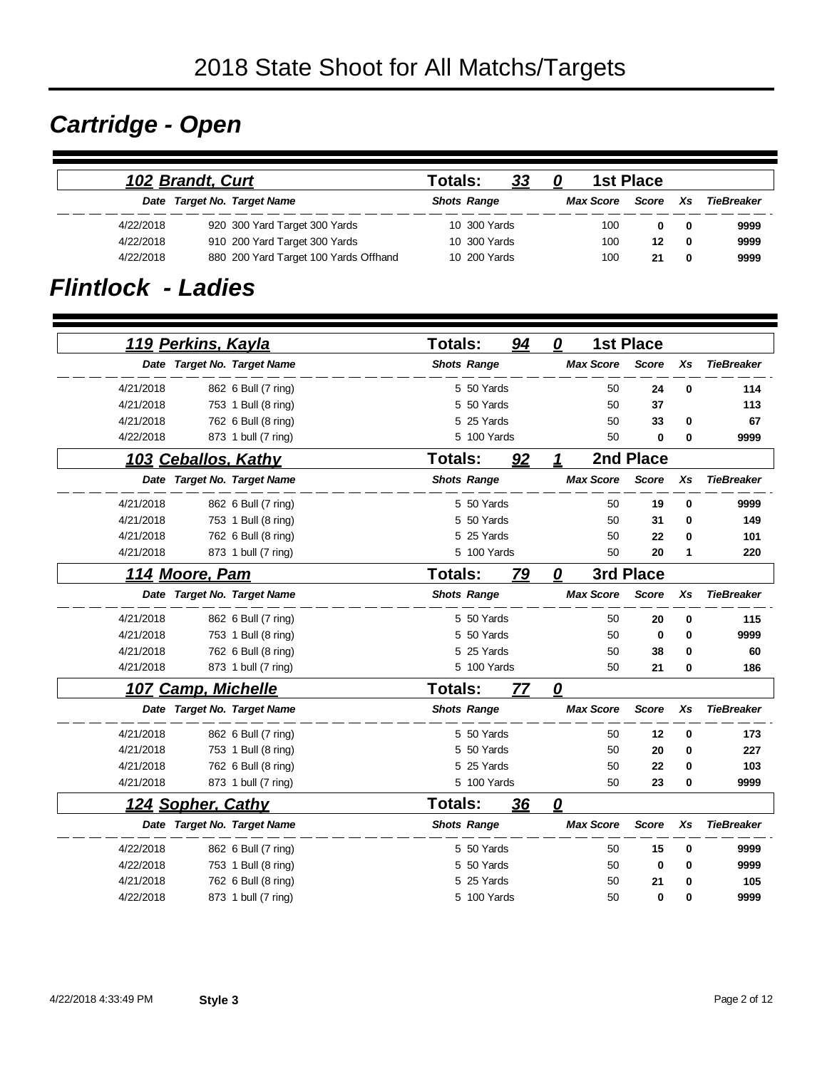# *Cartridge - Open*

|           | 102 Brandt, Curt |                                       | Totals: |                    | <u>33</u> | 0 | 1st Place        |       |              |            |
|-----------|------------------|---------------------------------------|---------|--------------------|-----------|---|------------------|-------|--------------|------------|
|           |                  | Date Target No. Target Name           |         | <b>Shots Range</b> |           |   | <b>Max Score</b> | Score | Xs           | TieBreaker |
| 4/22/2018 |                  | 920 300 Yard Target 300 Yards         |         | 10 300 Yards       |           |   | 100              |       | - 0          | 9999       |
| 4/22/2018 |                  | 910 200 Yard Target 300 Yards         |         | 10 300 Yards       |           |   | 100              | 12    | $\mathbf{0}$ | 9999       |
| 4/22/2018 |                  | 880 200 Yard Target 100 Yards Offhand |         | 10 200 Yards       |           |   | 100              | 21    | 0            | 9999       |

#### *Flintlock - Ladies*

|           |                             | <b>Totals:</b>     | 94 | 0                | <b>1st Place</b> |          |                   |
|-----------|-----------------------------|--------------------|----|------------------|------------------|----------|-------------------|
|           | <u>119 Perkins, Kayla</u>   |                    |    |                  |                  |          |                   |
|           | Date Target No. Target Name | <b>Shots Range</b> |    | <b>Max Score</b> | <b>Score</b>     | Xs       | <b>TieBreaker</b> |
| 4/21/2018 | 862 6 Bull (7 ring)         | 5 50 Yards         |    |                  | 50<br>24         | $\bf{0}$ | 114               |
| 4/21/2018 | 753 1 Bull (8 ring)         | 5 50 Yards         |    |                  | 50<br>37         |          | 113               |
| 4/21/2018 | 762 6 Bull (8 ring)         | 5 25 Yards         |    |                  | 50<br>33         | 0        | 67                |
| 4/22/2018 | 873 1 bull (7 ring)         | 5 100 Yards        |    |                  | 0<br>50          | 0        | 9999              |
|           | 103 Ceballos, Kathy         | <b>Totals:</b>     | 92 | 1                | 2nd Place        |          |                   |
|           | Date Target No. Target Name | <b>Shots Range</b> |    | <b>Max Score</b> | <b>Score</b>     | Xs       | <b>TieBreaker</b> |
| 4/21/2018 | 862 6 Bull (7 ring)         | 5 50 Yards         |    |                  | 50<br>19         | 0        | 9999              |
| 4/21/2018 | 753 1 Bull (8 ring)         | 5 50 Yards         |    |                  | 50<br>31         | 0        | 149               |
| 4/21/2018 | 762 6 Bull (8 ring)         | 5 25 Yards         |    |                  | 50<br>22         | 0        | 101               |
| 4/21/2018 | 873 1 bull (7 ring)         | 5 100 Yards        |    |                  | 50<br>20         | 1        | 220               |
|           | 114 Moore, Pam              | <b>Totals:</b>     | 79 | 0                | 3rd Place        |          |                   |
|           | Date Target No. Target Name | <b>Shots Range</b> |    | <b>Max Score</b> | <b>Score</b>     | Xs       | <b>TieBreaker</b> |
| 4/21/2018 | 862 6 Bull (7 ring)         | 5 50 Yards         |    |                  | 50<br>20         | 0        | 115               |
| 4/21/2018 | 753 1 Bull (8 ring)         | 5 50 Yards         |    |                  | 50<br>0          | 0        | 9999              |
| 4/21/2018 | 762 6 Bull (8 ring)         | 5 25 Yards         |    |                  | 50<br>38         | 0        | 60                |
| 4/21/2018 | 873 1 bull (7 ring)         | 5 100 Yards        |    |                  | 50<br>21         | 0        | 186               |
|           | 107 Camp, Michelle          | Totals:            | 77 | 0                |                  |          |                   |
|           | Date Target No. Target Name | <b>Shots Range</b> |    | <b>Max Score</b> | <b>Score</b>     | Xs       | <b>TieBreaker</b> |
| 4/21/2018 | 862 6 Bull (7 ring)         | 5 50 Yards         |    |                  | 50<br>12         | 0        | 173               |
| 4/21/2018 | 753 1 Bull (8 ring)         | 5 50 Yards         |    |                  | 50<br>20         | 0        | 227               |
| 4/21/2018 | 762 6 Bull (8 ring)         | 25 Yards<br>5      |    |                  | 50<br>22         | 0        | 103               |
| 4/21/2018 | 873 1 bull (7 ring)         | 5 100 Yards        |    |                  | 50<br>23         | 0        | 9999              |
|           | 124 Sopher, Cathy           | <b>Totals:</b>     | 36 | 0                |                  |          |                   |
|           | Date Target No. Target Name | <b>Shots Range</b> |    | <b>Max Score</b> | <b>Score</b>     | Xs       | <b>TieBreaker</b> |
| 4/22/2018 | 862 6 Bull (7 ring)         | 5 50 Yards         |    |                  | 50<br>15         | 0        | 9999              |
| 4/22/2018 | 753 1 Bull (8 ring)         | 5 50 Yards         |    |                  | 50<br>0          | 0        | 9999              |
| 4/21/2018 | 762 6 Bull (8 ring)         | 25 Yards<br>5      |    |                  | 50<br>21         | 0        | 105               |
| 4/22/2018 | 873 1 bull (7 ring)         | 5 100 Yards        |    |                  | 50<br>0          | 0        | 9999              |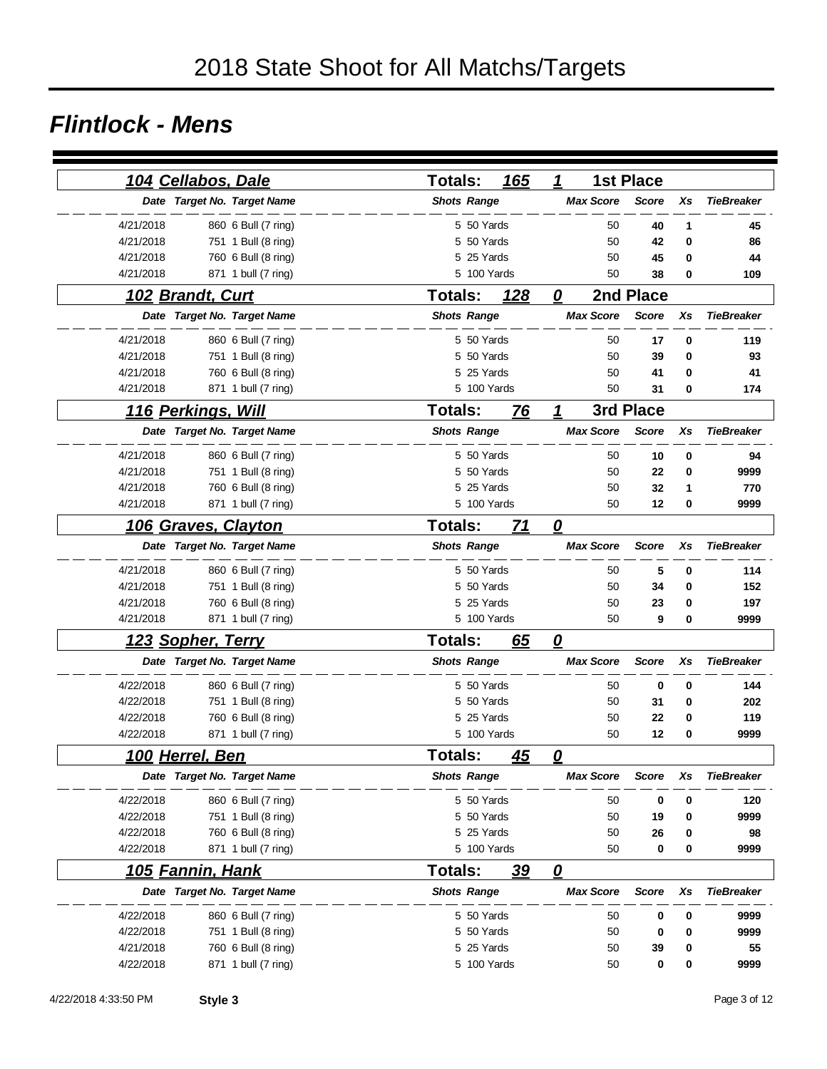#### *Flintlock - Mens*

|                           | 104 Cellabos, Dale          | 165<br><b>Totals:</b>       | 1                       | <b>1st Place</b> |    |                   |
|---------------------------|-----------------------------|-----------------------------|-------------------------|------------------|----|-------------------|
|                           | Date Target No. Target Name | <b>Shots Range</b>          | <b>Max Score</b>        | <b>Score</b>     | Xs | <b>TieBreaker</b> |
| 4/21/2018                 | 860 6 Bull (7 ring)         | 5 50 Yards                  | 50                      | 40               | 1  | 45                |
| 4/21/2018                 | 751 1 Bull (8 ring)         | 5 50 Yards                  | 50                      | 42               | 0  | 86                |
| 4/21/2018                 | 760 6 Bull (8 ring)         | 5 25 Yards                  | 50                      | 45               | 0  | 44                |
| 4/21/2018                 | 871 1 bull (7 ring)         | 5 100 Yards                 | 50                      | 38               | 0  | 109               |
| 102 Brandt, Curt          |                             | <b>Totals:</b><br>128       | 0                       | 2nd Place        |    |                   |
|                           | Date Target No. Target Name | <b>Shots Range</b>          | <b>Max Score</b>        | <b>Score</b>     | Xs | <b>TieBreaker</b> |
| 4/21/2018                 | 860 6 Bull (7 ring)         | 5 50 Yards                  | 50                      | 17               | 0  | 119               |
| 4/21/2018                 | 751 1 Bull (8 ring)         | 5 50 Yards                  | 50                      | 39               | 0  | 93                |
| 4/21/2018                 | 760 6 Bull (8 ring)         | 5 25 Yards                  | 50                      | 41               | 0  | 41                |
| 4/21/2018                 | 871 1 bull (7 ring)         | 5 100 Yards                 | 50                      | 31               | 0  | 174               |
| <u>116 Perkings, Will</u> |                             | <b>Totals:</b><br><u>76</u> | 1                       | 3rd Place        |    |                   |
|                           | Date Target No. Target Name | <b>Shots Range</b>          | <b>Max Score</b>        | <b>Score</b>     | Xs | <b>TieBreaker</b> |
| 4/21/2018                 | 860 6 Bull (7 ring)         | 5 50 Yards                  | 50                      | 10               | 0  | 94                |
| 4/21/2018                 | 751 1 Bull (8 ring)         | 5 50 Yards                  | 50                      | 22               | 0  | 9999              |
| 4/21/2018                 | 760 6 Bull (8 ring)         | 5 25 Yards                  | 50                      | 32               | 1  | 770               |
| 4/21/2018                 | 871 1 bull (7 ring)         | 5 100 Yards                 | 50                      | 12               | 0  | 9999              |
|                           | 106 Graves, Clayton         | <b>Totals:</b><br>71        | 0                       |                  |    |                   |
|                           | Date Target No. Target Name | <b>Shots Range</b>          | <b>Max Score</b>        | <b>Score</b>     | Xs | <b>TieBreaker</b> |
| 4/21/2018                 | 860 6 Bull (7 ring)         | 5 50 Yards                  | 50                      | 5                | 0  | 114               |
| 4/21/2018                 | 751 1 Bull (8 ring)         | 5 50 Yards                  | 50                      | 34               | 0  | 152               |
| 4/21/2018                 | 760 6 Bull (8 ring)         | 5 25 Yards                  | 50                      | 23               | 0  | 197               |
| 4/21/2018                 | 871 1 bull (7 ring)         | 5 100 Yards                 | 50                      | 9                | 0  | 9999              |
| <u> 123 Sopher, Terry</u> |                             | <b>Totals:</b><br>65        | $\boldsymbol{o}$        |                  |    |                   |
|                           | Date Target No. Target Name | <b>Shots Range</b>          | <b>Max Score</b>        | <b>Score</b>     | Xs | <b>TieBreaker</b> |
| 4/22/2018                 | 860 6 Bull (7 ring)         | 5 50 Yards                  | 50                      | 0                | 0  | 144               |
| 4/22/2018                 | 751 1 Bull (8 ring)         | 5 50 Yards                  | 50                      | 31               | 0  | 202               |
| 4/22/2018                 | 760 6 Bull (8 ring)         | 5 25 Yards                  | 50                      | 22               | 0  | 119               |
| 4/22/2018                 | 871 1 bull (7 ring)         | 5 100 Yards                 | 50                      | 12               | 0  | 9999              |
| <u>100 Herrel, Ben</u>    |                             | <b>Totals:</b><br><u>45</u> | <u>0</u>                |                  |    |                   |
|                           | Date Target No. Target Name | <b>Shots Range</b>          | <b>Max Score</b>        | Score            | Хs | <b>TieBreaker</b> |
| 4/22/2018                 | 860 6 Bull (7 ring)         | 5 50 Yards                  | 50                      | 0                | 0  | 120               |
| 4/22/2018                 | 751 1 Bull (8 ring)         | 5 50 Yards                  | 50                      | 19               | 0  | 9999              |
| 4/22/2018                 | 760 6 Bull (8 ring)         | 5 25 Yards                  | 50                      | 26               | 0  | 98                |
| 4/22/2018                 | 871 1 bull (7 ring)         | 5 100 Yards                 | 50                      | 0                | 0  | 9999              |
| <u>105 Fannin, Hank</u>   |                             | <u>39</u><br><b>Totals:</b> | $\overline{\mathbf{0}}$ |                  |    |                   |
|                           | Date Target No. Target Name | <b>Shots Range</b>          | <b>Max Score</b>        | <b>Score</b>     | Xs | <b>TieBreaker</b> |
| 4/22/2018                 | 860 6 Bull (7 ring)         | 5 50 Yards                  | 50                      | 0                | 0  | 9999              |
| 4/22/2018                 | 751 1 Bull (8 ring)         | 5 50 Yards                  | 50                      | 0                | 0  | 9999              |
| 4/21/2018                 | 760 6 Bull (8 ring)         | 5 25 Yards                  | 50                      | 39               | 0  | 55                |
| 4/22/2018                 | 871 1 bull (7 ring)         | 5 100 Yards                 | 50                      | 0                | 0  | 9999              |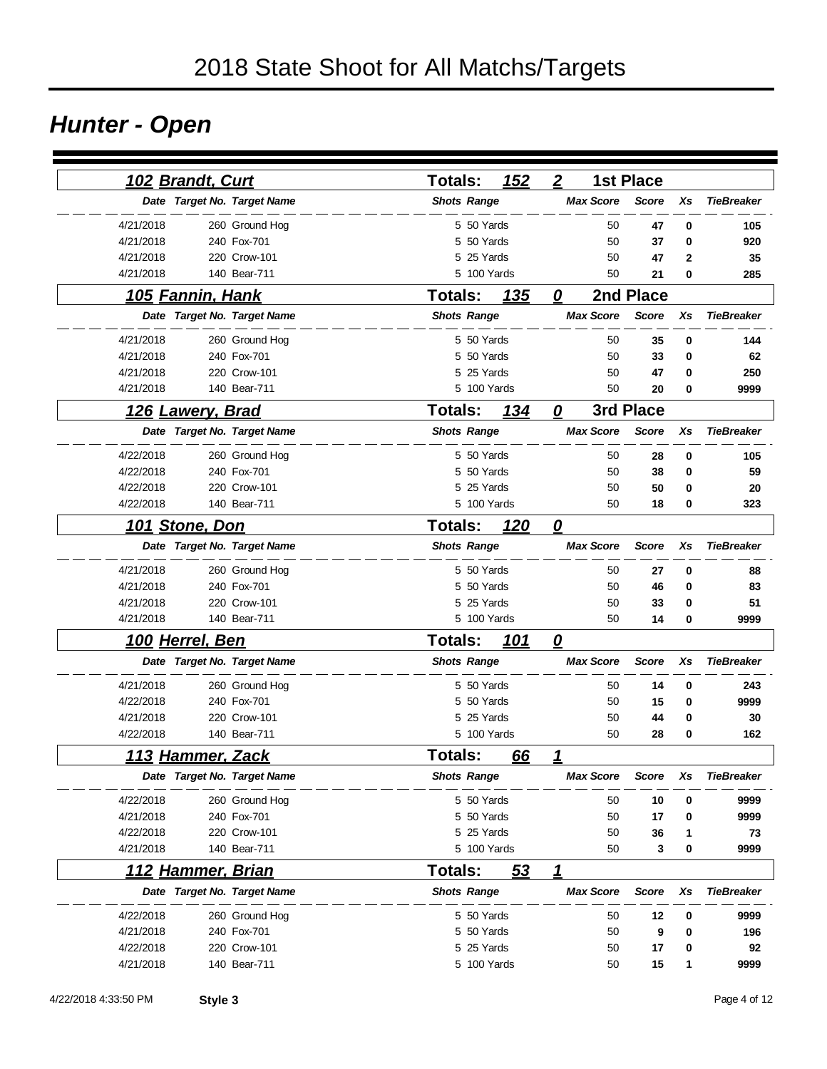# *Hunter - Open*

|           | 102 Brandt, Curt         |                             | <b>Totals:</b>     |             | 152        | $\boldsymbol{2}$        |                  | <b>1st Place</b> |              |                   |
|-----------|--------------------------|-----------------------------|--------------------|-------------|------------|-------------------------|------------------|------------------|--------------|-------------------|
|           |                          | Date Target No. Target Name | <b>Shots Range</b> |             |            |                         | <b>Max Score</b> | <b>Score</b>     | Xs           | <b>TieBreaker</b> |
| 4/21/2018 |                          | 260 Ground Hog              |                    | 5 50 Yards  |            |                         | 50               | 47               | 0            | 105               |
| 4/21/2018 |                          | 240 Fox-701                 |                    | 5 50 Yards  |            |                         | 50               | 37               | 0            | 920               |
| 4/21/2018 |                          | 220 Crow-101                |                    | 5 25 Yards  |            |                         | 50               | 47               | $\mathbf{2}$ | 35                |
| 4/21/2018 |                          | 140 Bear-711                |                    | 5 100 Yards |            |                         | 50               | 21               | 0            | 285               |
|           | <u>105 Fannin, Hank</u>  |                             | <b>Totals:</b>     |             | <b>135</b> | 0                       |                  | 2nd Place        |              |                   |
|           |                          | Date Target No. Target Name | <b>Shots Range</b> |             |            |                         | <b>Max Score</b> | <b>Score</b>     | Xs           | <b>TieBreaker</b> |
| 4/21/2018 |                          | 260 Ground Hog              |                    | 5 50 Yards  |            |                         | 50               | 35               | 0            | 144               |
| 4/21/2018 |                          | 240 Fox-701                 |                    | 5 50 Yards  |            |                         | 50               | 33               | 0            | 62                |
| 4/21/2018 |                          | 220 Crow-101                |                    | 5 25 Yards  |            |                         | 50               | 47               | 0            | 250               |
| 4/21/2018 |                          | 140 Bear-711                |                    | 5 100 Yards |            |                         | 50               | 20               | 0            | 9999              |
|           | <u>126 Lawery, Brad</u>  |                             | <b>Totals:</b>     |             | 134        | $\overline{\bm{0}}$     |                  | 3rd Place        |              |                   |
|           |                          | Date Target No. Target Name | <b>Shots Range</b> |             |            |                         | <b>Max Score</b> | <b>Score</b>     | Xs           | <b>TieBreaker</b> |
| 4/22/2018 |                          | 260 Ground Hog              |                    | 5 50 Yards  |            |                         | 50               | 28               | 0            | 105               |
| 4/22/2018 |                          | 240 Fox-701                 |                    | 5 50 Yards  |            |                         | 50               | 38               | 0            | 59                |
| 4/22/2018 |                          | 220 Crow-101                |                    | 5 25 Yards  |            |                         | 50               | 50               | 0            | 20                |
| 4/22/2018 |                          | 140 Bear-711                |                    | 5 100 Yards |            |                         | 50               | 18               | 0            | 323               |
|           | 101 Stone, Don           |                             | <b>Totals:</b>     |             | 120        | $\overline{\mathbf{0}}$ |                  |                  |              |                   |
|           |                          | Date Target No. Target Name | <b>Shots Range</b> |             |            |                         | <b>Max Score</b> | <b>Score</b>     | Xs           | <b>TieBreaker</b> |
| 4/21/2018 |                          | 260 Ground Hog              |                    | 5 50 Yards  |            |                         | 50               | 27               | 0            | 88                |
| 4/21/2018 |                          | 240 Fox-701                 |                    | 5 50 Yards  |            |                         | 50               | 46               | 0            | 83                |
| 4/21/2018 |                          | 220 Crow-101                |                    | 5 25 Yards  |            |                         | 50               | 33               | 0            | 51                |
| 4/21/2018 |                          | 140 Bear-711                |                    | 5 100 Yards |            |                         | 50               | 14               | 0            | 9999              |
|           | <u>100 Herrel, Ben</u>   |                             | Totals:            |             | <u>101</u> | 0                       |                  |                  |              |                   |
|           |                          | Date Target No. Target Name | <b>Shots Range</b> |             |            |                         | <b>Max Score</b> | <b>Score</b>     | Xs           | <b>TieBreaker</b> |
| 4/21/2018 |                          | 260 Ground Hog              |                    | 5 50 Yards  |            |                         | 50               | 14               | 0            | 243               |
| 4/22/2018 |                          | 240 Fox-701                 |                    | 5 50 Yards  |            |                         | 50               | 15               | 0            | 9999              |
| 4/21/2018 |                          | 220 Crow-101                |                    | 5 25 Yards  |            |                         | 50               | 44               | 0            | 30                |
| 4/22/2018 |                          | 140 Bear-711                |                    | 5 100 Yards |            |                         | 50               | 28               | 0            | 162               |
|           | <u>113 Hammer, Zack</u>  |                             | <b>Totals:</b>     |             | 66         | 1                       |                  |                  |              |                   |
|           |                          | Date Target No. Target Name | <b>Shots Range</b> |             |            |                         | <b>Max Score</b> | <b>Score</b>     | Xs           | <b>TieBreaker</b> |
| 4/22/2018 |                          | 260 Ground Hog              |                    | 5 50 Yards  |            |                         | 50               | 10               | 0            | 9999              |
| 4/21/2018 |                          | 240 Fox-701                 |                    | 5 50 Yards  |            |                         | 50               | 17               | 0            | 9999              |
| 4/22/2018 |                          | 220 Crow-101                |                    | 5 25 Yards  |            |                         | 50               | 36               | 1            | 73                |
| 4/21/2018 |                          | 140 Bear-711                |                    | 5 100 Yards |            |                         | 50               | 3                | 0            | 9999              |
|           | <u>112 Hammer, Brian</u> |                             | <b>Totals:</b>     |             | <u>53</u>  | <u>1</u>                |                  |                  |              |                   |
|           |                          | Date Target No. Target Name | <b>Shots Range</b> |             |            |                         | <b>Max Score</b> | <b>Score</b>     | Xs           | <b>TieBreaker</b> |
| 4/22/2018 |                          | 260 Ground Hog              |                    | 5 50 Yards  |            |                         | 50               | 12               | 0            | 9999              |
| 4/21/2018 |                          | 240 Fox-701                 |                    | 5 50 Yards  |            |                         | 50               | 9                | 0            | 196               |
| 4/22/2018 |                          | 220 Crow-101                |                    | 5 25 Yards  |            |                         | 50               | 17               | 0            | 92                |
| 4/21/2018 |                          | 140 Bear-711                |                    | 5 100 Yards |            |                         | 50               | 15               | 1            | 9999              |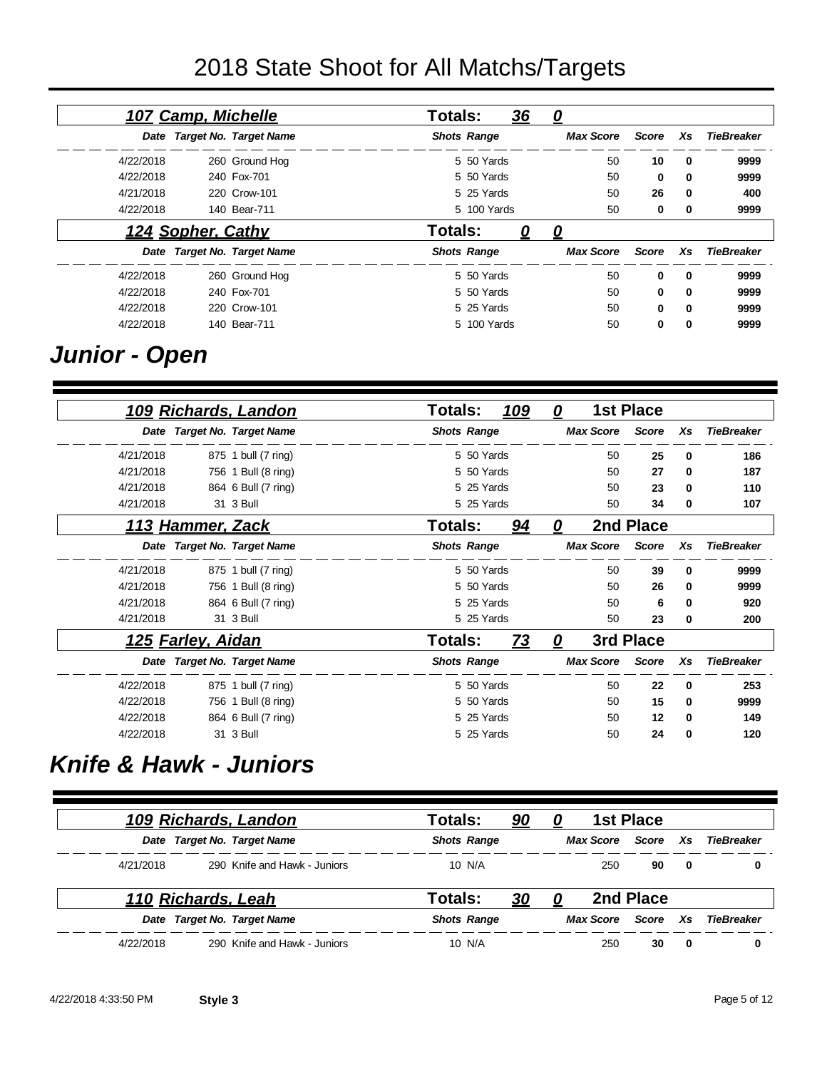# 2018 State Shoot for All Matchs/Targets

|                   |     |       | 0                | <u>36</u> |                    | <b>Totals:</b> |                             | 107 Camp, Michelle |           |
|-------------------|-----|-------|------------------|-----------|--------------------|----------------|-----------------------------|--------------------|-----------|
| <b>TieBreaker</b> | Xs  | Score | <b>Max Score</b> |           | <b>Shots Range</b> |                | Date Target No. Target Name |                    |           |
| 9999              | 0   | 10    | 50               |           | 5 50 Yards         |                | 260 Ground Hog              |                    | 4/22/2018 |
| 9999              | 0   | 0     | 50               |           | 5 50 Yards         |                | 240 Fox-701                 |                    | 4/22/2018 |
| 400               | 0   | 26    | 50               |           | 5 25 Yards         |                | 220 Crow-101                |                    | 4/21/2018 |
| 9999              | 0   | 0     | 50               |           | 5 100 Yards        |                | 140 Bear-711                |                    | 4/22/2018 |
|                   |     |       | 0                | 0         |                    | Totals:        |                             | 124 Sopher, Cathy  |           |
| <b>TieBreaker</b> | Xs. | Score | <b>Max Score</b> |           | <b>Shots Range</b> |                | Date Target No. Target Name |                    |           |
| 9999              | 0   | 0     | 50               |           | 5 50 Yards         |                | 260 Ground Hog              |                    | 4/22/2018 |
| 9999              | 0   | 0     | 50               |           | 5 50 Yards         |                | 240 Fox-701                 |                    | 4/22/2018 |
| 9999              | 0   | 0     | 50               |           | 5 25 Yards         |                | 220 Crow-101                |                    | 4/22/2018 |
| 9999              | 0   | 0     | 50               |           | 5 100 Yards        |                | 140 Bear-711                |                    | 4/22/2018 |

## *Junior - Open*

|           |                          | 109 Richards, Landon        | <b>Totals:</b> |                    | 109 | 0 |                  | <b>1st Place</b> |    |                   |
|-----------|--------------------------|-----------------------------|----------------|--------------------|-----|---|------------------|------------------|----|-------------------|
|           |                          | Date Target No. Target Name |                | <b>Shots Range</b> |     |   | <b>Max Score</b> | <b>Score</b>     | Xs | <b>TieBreaker</b> |
| 4/21/2018 |                          | 875 1 bull (7 ring)         |                | 5 50 Yards         |     |   | 50               | 25               | 0  | 186               |
| 4/21/2018 |                          | 756 1 Bull (8 ring)         |                | 5 50 Yards         |     |   | 50               | 27               | 0  | 187               |
| 4/21/2018 |                          | 864 6 Bull (7 ring)         |                | 5 25 Yards         |     |   | 50               | 23               | 0  | 110               |
| 4/21/2018 |                          | 31 3 Bull                   |                | 5 25 Yards         |     |   | 50               | 34               | 0  | 107               |
|           | <u>113 Hammer, Zack</u>  |                             | Totals:        |                    | 94  | 0 |                  | 2nd Place        |    |                   |
|           |                          | Date Target No. Target Name |                | <b>Shots Range</b> |     |   | <b>Max Score</b> | <b>Score</b>     | Xs | <b>TieBreaker</b> |
| 4/21/2018 |                          | 875 1 bull (7 ring)         |                | 5 50 Yards         |     |   | 50               | 39               | 0  | 9999              |
| 4/21/2018 |                          | 756 1 Bull (8 ring)         |                | 5 50 Yards         |     |   | 50               | 26               | 0  | 9999              |
| 4/21/2018 |                          | 864 6 Bull (7 ring)         |                | 5 25 Yards         |     |   | 50               | 6                | 0  | 920               |
| 4/21/2018 |                          | 31 3 Bull                   |                | 5 25 Yards         |     |   | 50               | 23               | 0  | 200               |
|           | <u>125 Farley, Aidan</u> |                             | Totals:        |                    | 73  | 0 |                  | 3rd Place        |    |                   |
|           |                          | Date Target No. Target Name |                | <b>Shots Range</b> |     |   | <b>Max Score</b> | <b>Score</b>     | Xs | <b>TieBreaker</b> |
| 4/22/2018 |                          | 875 1 bull (7 ring)         |                | 5 50 Yards         |     |   | 50               | 22               | 0  | 253               |
| 4/22/2018 |                          | 756 1 Bull (8 ring)         |                | 5 50 Yards         |     |   | 50               | 15               | 0  | 9999              |
| 4/22/2018 |                          | 864 6 Bull (7 ring)         |                | 5 25 Yards         |     |   | 50               | 12               | 0  | 149               |
| 4/22/2018 |                          | 31 3 Bull                   |                | 5 25 Yards         |     |   | 50               | 24               | 0  | 120               |

## *Knife & Hawk - Juniors*

|           |                    | 109 Richards, Landon         | Totals:            | <u>90</u> | 0 | <b>1st Place</b> |           |             |                   |
|-----------|--------------------|------------------------------|--------------------|-----------|---|------------------|-----------|-------------|-------------------|
|           |                    | Date Target No. Target Name  | <b>Shots Range</b> |           |   | Max Score        | Score     | <b>Xs</b>   | TieBreaker        |
| 4/21/2018 |                    | 290 Knife and Hawk - Juniors | 10 N/A             |           |   | 250              | 90        | $\mathbf 0$ | 0                 |
|           | 110 Richards, Leah |                              | Totals:            | 30        |   |                  | 2nd Place |             |                   |
|           |                    | Date Target No. Target Name  | <b>Shots Range</b> |           |   | Max Score        | Score     | Xs          | <b>TieBreaker</b> |
| 4/22/2018 |                    | 290 Knife and Hawk - Juniors | 10 N/A             |           |   | 250              | 30        | $\bf{0}$    | 0                 |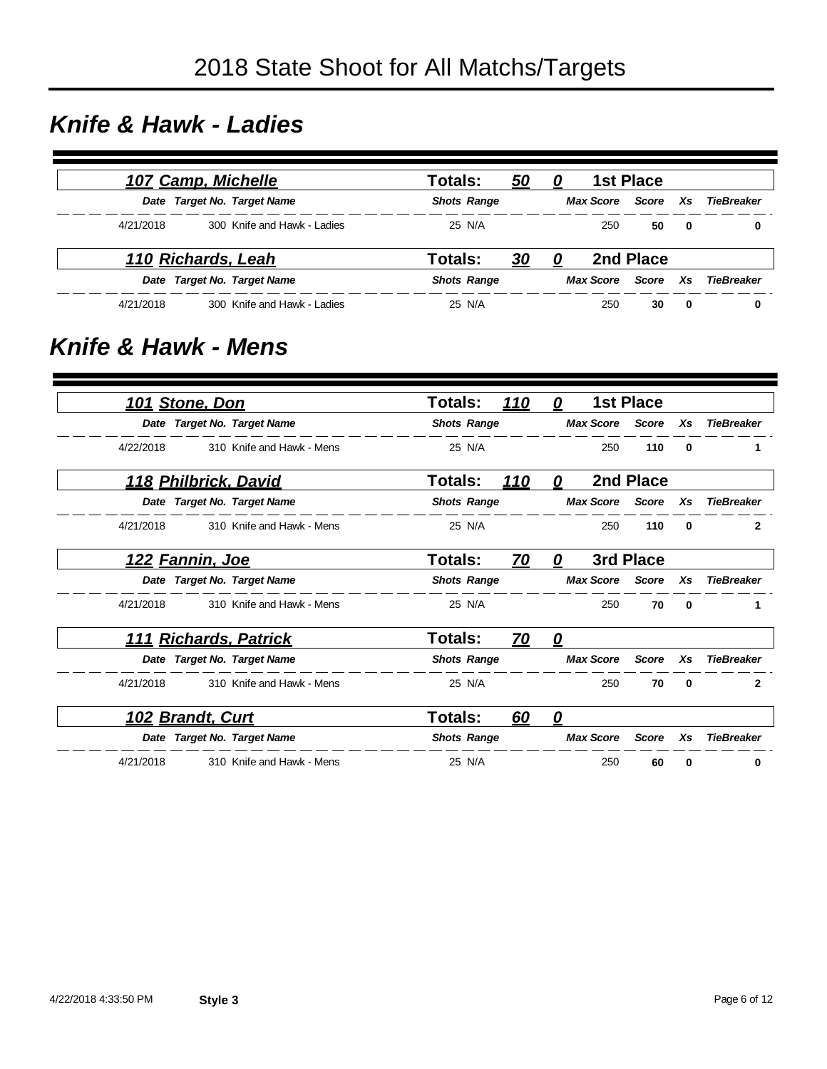#### *Knife & Hawk - Ladies*

|           | 107 Camp, Michelle |                             | Totals:            | <u>50</u> | 0 |                  | <b>1st Place</b> |              |            |
|-----------|--------------------|-----------------------------|--------------------|-----------|---|------------------|------------------|--------------|------------|
|           |                    | Date Target No. Target Name | <b>Shots Range</b> |           |   | Max Score        | Score Xs         |              | TieBreaker |
| 4/21/2018 |                    | 300 Knife and Hawk - Ladies | 25 N/A             |           |   | 250              | 50               | $\mathbf{0}$ | 0          |
|           | 110 Richards, Leah |                             | Totals:            | <u>30</u> | 0 |                  | 2nd Place        |              |            |
|           |                    | Date Target No. Target Name | <b>Shots Range</b> |           |   | <b>Max Score</b> | Score            | Xs           | TieBreaker |
| 4/21/2018 |                    | 300 Knife and Hawk - Ladies | 25 N/A             |           |   | 250              | 30               | - 0          | 0          |

#### *Knife & Hawk - Mens*

|                   |    | <b>1st Place</b> |                  | <u>0</u> | <u> 110</u> | <b>Totals:</b>     |                               | <u>101 Stone, Don</u> |
|-------------------|----|------------------|------------------|----------|-------------|--------------------|-------------------------------|-----------------------|
| <b>TieBreaker</b> | Xs | <b>Score</b>     | <b>Max Score</b> |          |             | <b>Shots Range</b> | Date Target No. Target Name   |                       |
| 0                 |    | 110              | 250              |          |             | 25 N/A             | 310 Knife and Hawk - Mens     | 4/22/2018             |
|                   |    | 2nd Place        |                  | 0        | 110         | Totals:            | 118 Philbrick, David          |                       |
| <b>TieBreaker</b> | Xs | Score            | <b>Max Score</b> |          |             | <b>Shots Range</b> | Date Target No. Target Name   |                       |
| $\bf{0}$          |    | 110              | 250              |          |             | 25 N/A             | 310 Knife and Hawk - Mens     | 4/21/2018             |
|                   |    | 3rd Place        |                  | 0        | 70          | Totals:            | 122 Fannin, Joe               |                       |
| <b>TieBreaker</b> | Xs | Score            | <b>Max Score</b> |          |             | <b>Shots Range</b> | Date Target No. Target Name   |                       |
| 0                 |    | 70               | 250              |          |             | 25 N/A             | 310 Knife and Hawk - Mens     | 4/21/2018             |
|                   |    |                  |                  | 0        | <u>70</u>   | <b>Totals:</b>     | <u> 111 Richards, Patrick</u> |                       |
| <b>TieBreaker</b> | Xs | <b>Score</b>     | <b>Max Score</b> |          |             | <b>Shots Range</b> | Date Target No. Target Name   |                       |
| $\bf{0}$          |    | 70               | 250              |          |             | 25 N/A             | 310 Knife and Hawk - Mens     | 4/21/2018             |
|                   |    |                  |                  | 0        | 60          | <b>Totals:</b>     | 102 Brandt, Curt              |                       |
| <b>TieBreaker</b> | Xs | <b>Score</b>     | <b>Max Score</b> |          |             | <b>Shots Range</b> | Date Target No. Target Name   |                       |
| 0                 |    | 60               | 250              |          |             | 25 N/A             | 310 Knife and Hawk - Mens     | 4/21/2018             |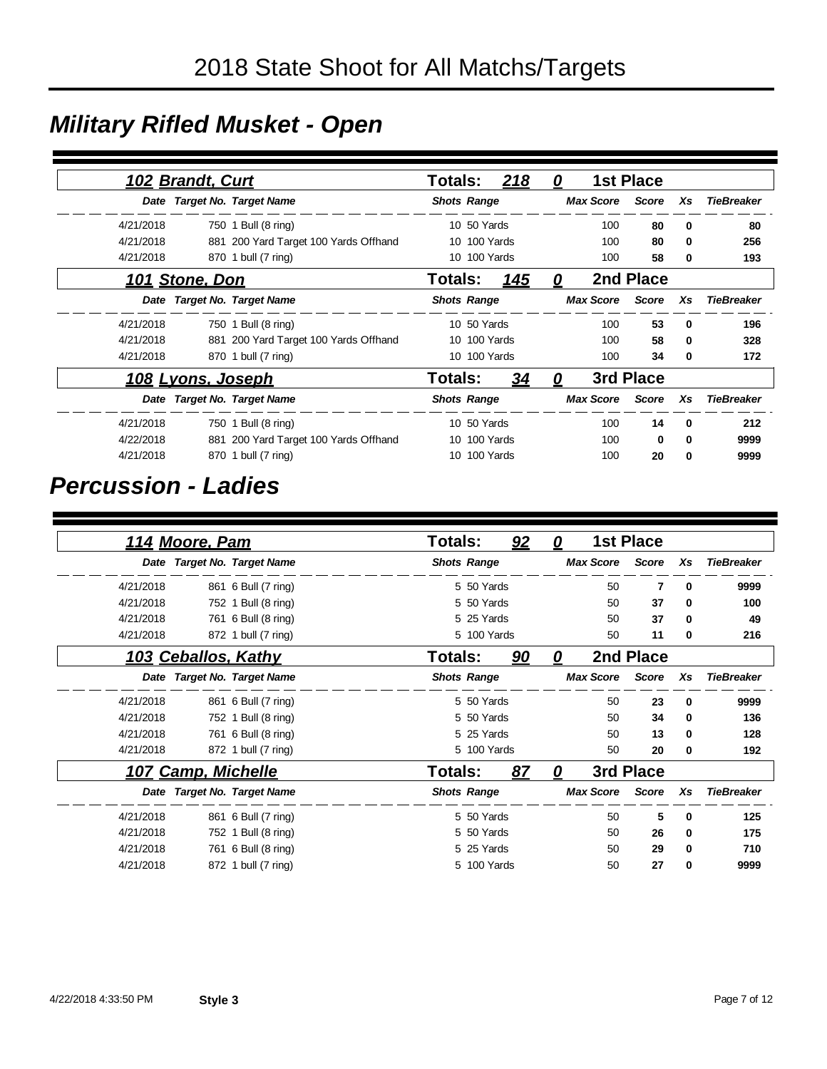# *Military Rifled Musket - Open*

|           | 102 Brandt, Curt         |                                       | Totals:            |              | 218          | 0 |                  | <b>1st Place</b> |              |                   |
|-----------|--------------------------|---------------------------------------|--------------------|--------------|--------------|---|------------------|------------------|--------------|-------------------|
|           |                          | Date Target No. Target Name           | <b>Shots Range</b> |              |              |   | <b>Max Score</b> | <b>Score</b>     | Xs           | <b>TieBreaker</b> |
| 4/21/2018 |                          | 750 1 Bull (8 ring)                   |                    | 10 50 Yards  |              |   | 100              | 80               | $\mathbf{0}$ | 80                |
| 4/21/2018 |                          | 881 200 Yard Target 100 Yards Offhand |                    | 10 100 Yards |              |   | 100              | 80               | $\mathbf{0}$ | 256               |
| 4/21/2018 |                          | 870 1 bull (7 ring)                   |                    | 10 100 Yards |              |   | 100              | 58               | 0            | 193               |
|           | 101 Stone, Don           |                                       | <b>Totals:</b>     |              | 145          | 0 |                  | 2nd Place        |              |                   |
|           |                          | Date Target No. Target Name           | <b>Shots Range</b> |              |              |   | <b>Max Score</b> | Score            | Xs           | <b>TieBreaker</b> |
| 4/21/2018 |                          | 750 1 Bull (8 ring)                   |                    | 10 50 Yards  |              |   | 100              | 53               | $\mathbf{0}$ | 196               |
| 4/21/2018 |                          | 881 200 Yard Target 100 Yards Offhand |                    | 10 100 Yards |              |   | 100              | 58               | 0            | 328               |
| 4/21/2018 |                          | 870 1 bull (7 ring)                   |                    |              | 10 100 Yards |   | 100              | 34               | 0            | 172               |
|           | <u>108 Lyons, Joseph</u> |                                       | <b>Totals:</b>     |              | <u>34</u>    | 0 |                  | 3rd Place        |              |                   |
|           |                          | Date Target No. Target Name           | <b>Shots Range</b> |              |              |   | <b>Max Score</b> | <b>Score</b>     | Xs           | <b>TieBreaker</b> |
| 4/21/2018 |                          | 750 1 Bull (8 ring)                   |                    | 10 50 Yards  |              |   | 100              | 14               | $\mathbf{0}$ | 212               |
| 4/22/2018 |                          | 881 200 Yard Target 100 Yards Offhand |                    | 10 100 Yards |              |   | 100              | 0                | $\mathbf{0}$ | 9999              |
| 4/21/2018 |                          | 870 1 bull (7 ring)                   |                    | 10 100 Yards |              |   | 100              | 20               | 0            | 9999              |

#### *Percussion - Ladies*

|           | 114 Moore, Pam      |                             | Totals:        |                    | 92 | 0                       |                  | <b>1st Place</b> |    |                   |
|-----------|---------------------|-----------------------------|----------------|--------------------|----|-------------------------|------------------|------------------|----|-------------------|
|           |                     | Date Target No. Target Name |                | <b>Shots Range</b> |    |                         | <b>Max Score</b> | Score            | Xs | <b>TieBreaker</b> |
| 4/21/2018 |                     | 861 6 Bull (7 ring)         |                | 5 50 Yards         |    |                         | 50               | 7                | 0  | 9999              |
| 4/21/2018 |                     | 752 1 Bull (8 ring)         |                | 5 50 Yards         |    |                         | 50               | 37               | 0  | 100               |
| 4/21/2018 |                     | 761 6 Bull (8 ring)         |                | 5 25 Yards         |    |                         | 50               | 37               | 0  | 49                |
| 4/21/2018 |                     | 872 1 bull (7 ring)         |                | 5 100 Yards        |    |                         | 50               | 11               | 0  | 216               |
|           | 103 Ceballos, Kathy |                             | <b>Totals:</b> |                    | 90 | $\overline{\mathbf{0}}$ |                  | 2nd Place        |    |                   |
|           |                     | Date Target No. Target Name |                | <b>Shots Range</b> |    |                         | <b>Max Score</b> | <b>Score</b>     | Xs | <b>TieBreaker</b> |
| 4/21/2018 |                     | 861 6 Bull (7 ring)         |                | 5 50 Yards         |    |                         | 50               | 23               | 0  | 9999              |
| 4/21/2018 |                     | 752 1 Bull (8 ring)         |                | 5 50 Yards         |    |                         | 50               | 34               | 0  | 136               |
| 4/21/2018 |                     | 761 6 Bull (8 ring)         |                | 5 25 Yards         |    |                         | 50               | 13               | 0  | 128               |
| 4/21/2018 |                     | 872 1 bull (7 ring)         |                | 5 100 Yards        |    |                         | 50               | 20               | 0  | 192               |
|           | 107 Camp, Michelle  |                             | Totals:        |                    | 87 | 0                       |                  | 3rd Place        |    |                   |
|           |                     | Date Target No. Target Name |                | <b>Shots Range</b> |    |                         | <b>Max Score</b> | <b>Score</b>     | Xs | <b>TieBreaker</b> |
| 4/21/2018 |                     | 861 6 Bull (7 ring)         |                | 5 50 Yards         |    |                         | 50               | 5                | 0  | 125               |
| 4/21/2018 |                     | 752 1 Bull (8 ring)         |                | 5 50 Yards         |    |                         | 50               | 26               | 0  | 175               |
| 4/21/2018 |                     | 761 6 Bull (8 ring)         |                | 5 25 Yards         |    |                         | 50               | 29               | 0  | 710               |
| 4/21/2018 |                     | 872 1 bull (7 ring)         |                | 5 100 Yards        |    |                         | 50               | 27               | 0  | 9999              |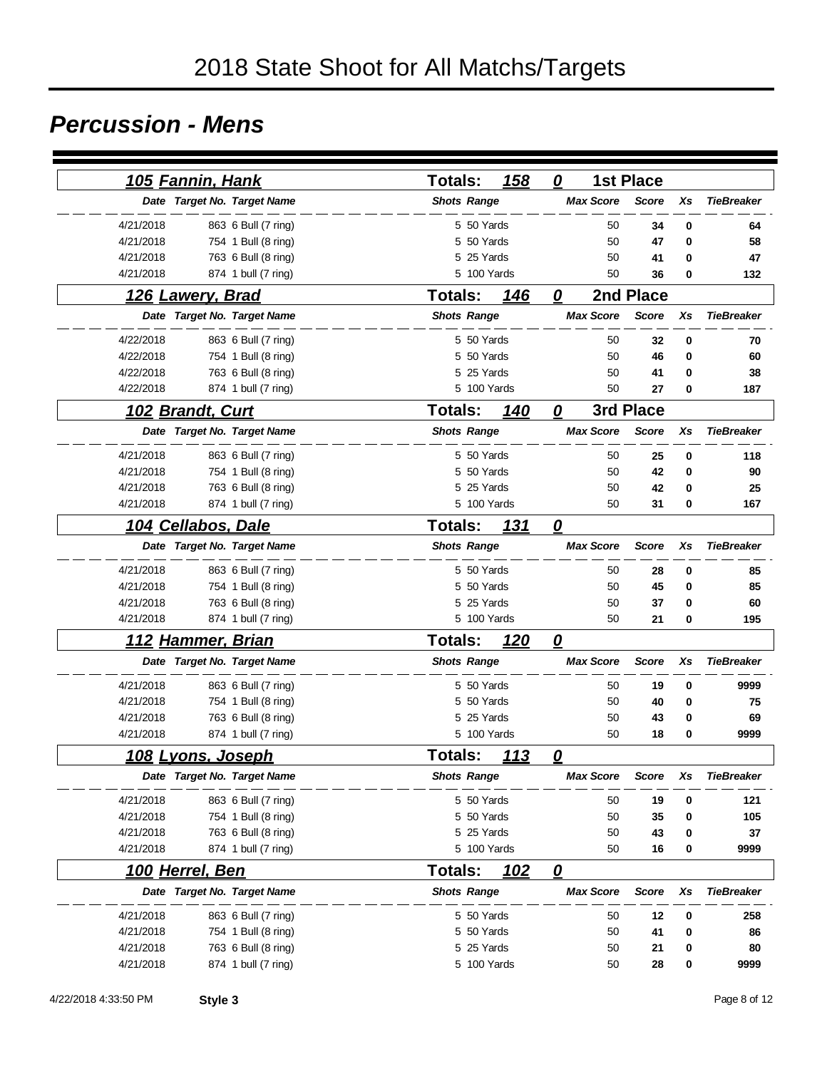## *Percussion - Mens*

|           | <u>105 Fannin, Hank</u>   |                             | <b>Totals:</b> |                    | 158         | 0                       |                  | <b>1st Place</b> |    |                   |
|-----------|---------------------------|-----------------------------|----------------|--------------------|-------------|-------------------------|------------------|------------------|----|-------------------|
|           |                           | Date Target No. Target Name |                | <b>Shots Range</b> |             |                         | <b>Max Score</b> | <b>Score</b>     | Xs | <b>TieBreaker</b> |
| 4/21/2018 |                           | 863 6 Bull (7 ring)         |                | 5 50 Yards         |             |                         | 50               | 34               | 0  | 64                |
| 4/21/2018 |                           | 754 1 Bull (8 ring)         |                | 5 50 Yards         |             |                         | 50               | 47               | 0  | 58                |
| 4/21/2018 |                           | 763 6 Bull (8 ring)         |                | 5 25 Yards         |             |                         | 50               | 41               | 0  | 47                |
| 4/21/2018 |                           | 874 1 bull (7 ring)         |                |                    | 5 100 Yards |                         | 50               | 36               | 0  | 132               |
|           | <u>126 Lawery, Brad</u>   |                             | Totals:        |                    | <b>146</b>  | 0                       |                  | 2nd Place        |    |                   |
|           |                           | Date Target No. Target Name |                | <b>Shots Range</b> |             |                         | <b>Max Score</b> | <b>Score</b>     | Xs | <b>TieBreaker</b> |
| 4/22/2018 |                           | 863 6 Bull (7 ring)         |                | 5 50 Yards         |             |                         | 50               | 32               | 0  | 70                |
| 4/22/2018 |                           | 754 1 Bull (8 ring)         |                | 5 50 Yards         |             |                         | 50               | 46               | 0  | 60                |
| 4/22/2018 |                           | 763 6 Bull (8 ring)         |                | 5 25 Yards         |             |                         | 50               | 41               | 0  | 38                |
| 4/22/2018 |                           | 874 1 bull (7 ring)         |                |                    | 5 100 Yards |                         | 50               | 27               | 0  | 187               |
|           | <u>102 Brandt, Curt</u>   |                             | <b>Totals:</b> |                    | 140         | $\mathbf{0}$            |                  | 3rd Place        |    |                   |
|           |                           | Date Target No. Target Name |                | <b>Shots Range</b> |             |                         | <b>Max Score</b> | <b>Score</b>     | Xs | <b>TieBreaker</b> |
| 4/21/2018 |                           | 863 6 Bull (7 ring)         |                | 5 50 Yards         |             |                         | 50               | 25               | 0  | 118               |
| 4/21/2018 |                           | 754 1 Bull (8 ring)         |                | 5 50 Yards         |             |                         | 50               | 42               | 0  | 90                |
| 4/21/2018 |                           | 763 6 Bull (8 ring)         |                | 5 25 Yards         |             |                         | 50               | 42               | 0  | 25                |
| 4/21/2018 |                           | 874 1 bull (7 ring)         |                |                    | 5 100 Yards |                         | 50               | 31               | 0  | 167               |
|           | <u>104 Cellabos, Dale</u> |                             | <b>Totals:</b> |                    | 131         | 0                       |                  |                  |    |                   |
|           |                           | Date Target No. Target Name |                | <b>Shots Range</b> |             |                         | <b>Max Score</b> | <b>Score</b>     | Xs | <b>TieBreaker</b> |
| 4/21/2018 |                           | 863 6 Bull (7 ring)         |                | 5 50 Yards         |             |                         | 50               | 28               | 0  | 85                |
| 4/21/2018 |                           | 754 1 Bull (8 ring)         |                | 5 50 Yards         |             |                         | 50               | 45               | 0  | 85                |
| 4/21/2018 |                           | 763 6 Bull (8 ring)         |                | 5 25 Yards         |             |                         | 50               | 37               | 0  | 60                |
| 4/21/2018 |                           | 874 1 bull (7 ring)         |                |                    | 5 100 Yards |                         | 50               | 21               | 0  | 195               |
|           | <u>112 Hammer, Brian</u>  |                             | <b>Totals:</b> |                    | <u>120</u>  | $\boldsymbol{o}$        |                  |                  |    |                   |
|           |                           | Date Target No. Target Name |                | <b>Shots Range</b> |             |                         | <b>Max Score</b> | <b>Score</b>     | Xs | <b>TieBreaker</b> |
| 4/21/2018 |                           | 863 6 Bull (7 ring)         |                | 5 50 Yards         |             |                         | 50               | 19               | 0  | 9999              |
| 4/21/2018 |                           | 754 1 Bull (8 ring)         |                | 5 50 Yards         |             |                         | 50               | 40               | 0  | 75                |
| 4/21/2018 |                           | 763 6 Bull (8 ring)         |                | 5 25 Yards         |             |                         | 50               | 43               | 0  | 69                |
| 4/21/2018 |                           | 874 1 bull (7 ring)         |                |                    | 5 100 Yards |                         | 50               | 18               | 0  | 9999              |
|           | <u>108 Lyons, Joseph</u>  |                             | <b>Totals:</b> |                    | <u> 113</u> | <u>0</u>                |                  |                  |    |                   |
|           |                           | Date Target No. Target Name |                | <b>Shots Range</b> |             |                         | <b>Max Score</b> | Score            | Хs | <b>TieBreaker</b> |
| 4/21/2018 |                           | 863 6 Bull (7 ring)         |                | 5 50 Yards         |             |                         | 50               | 19               | 0  | 121               |
| 4/21/2018 |                           | 754 1 Bull (8 ring)         |                | 5 50 Yards         |             |                         | 50               | 35               | 0  | 105               |
| 4/21/2018 |                           | 763 6 Bull (8 ring)         |                | 5 25 Yards         |             |                         | 50               | 43               | 0  | 37                |
| 4/21/2018 |                           | 874 1 bull (7 ring)         |                |                    | 5 100 Yards |                         | 50               | 16               | 0  | 9999              |
|           | <u>100 Herrel, Ben</u>    |                             | <b>Totals:</b> |                    | <u> 102</u> | $\overline{\mathbf{0}}$ |                  |                  |    |                   |
|           |                           | Date Target No. Target Name |                | <b>Shots Range</b> |             |                         | <b>Max Score</b> | <b>Score</b>     | Xs | <b>TieBreaker</b> |
| 4/21/2018 |                           | 863 6 Bull (7 ring)         |                | 5 50 Yards         |             |                         | 50               | 12               | 0  | 258               |
| 4/21/2018 |                           | 754 1 Bull (8 ring)         |                | 5 50 Yards         |             |                         | 50               | 41               | 0  | 86                |
| 4/21/2018 |                           | 763 6 Bull (8 ring)         |                | 5 25 Yards         |             |                         | 50               | 21               | 0  | 80                |
| 4/21/2018 |                           | 874 1 bull (7 ring)         |                |                    | 5 100 Yards |                         | 50               | 28               | 0  | 9999              |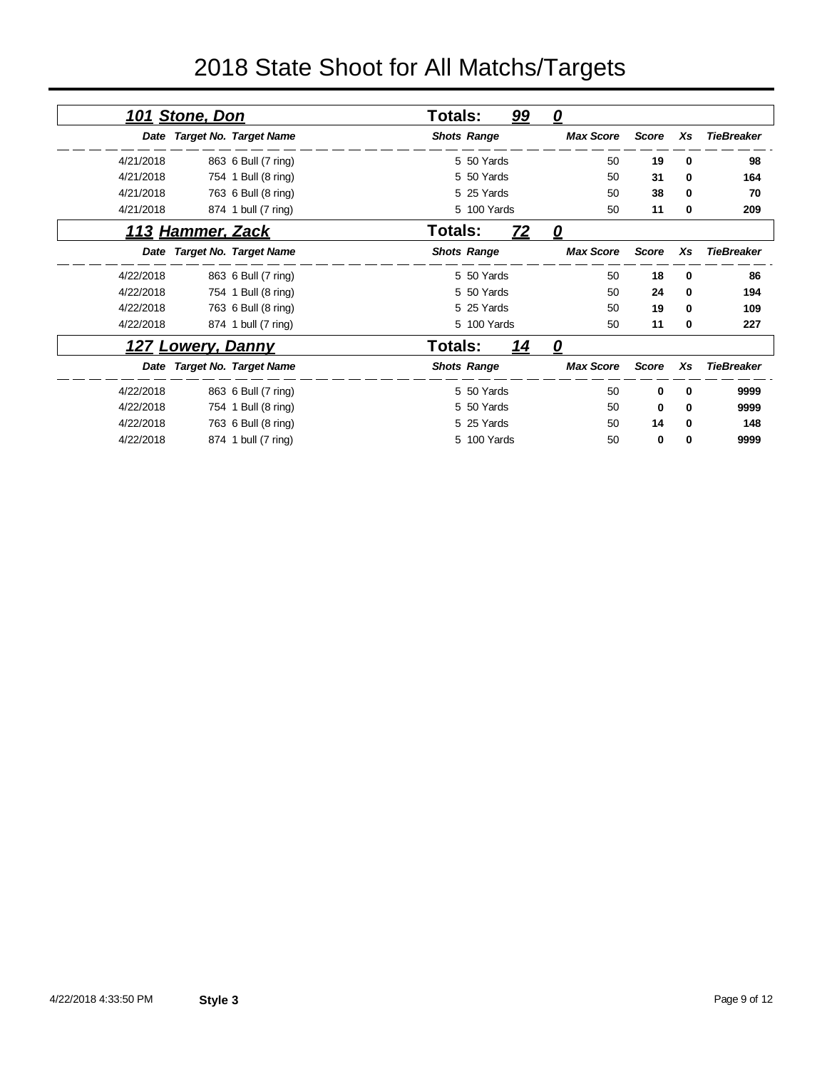# 2018 State Shoot for All Matchs/Targets

|                                         | $\overline{\mathbf{0}}$ | 99                 | Totals:        |                             | <u>101 Stone, Don</u>    |           |
|-----------------------------------------|-------------------------|--------------------|----------------|-----------------------------|--------------------------|-----------|
| <b>TieBreaker</b><br>Score<br>Xs        | <b>Max Score</b>        | <b>Shots Range</b> |                | Date Target No. Target Name |                          |           |
| 50<br>19<br>0                           |                         | 5 50 Yards         |                | 863 6 Bull (7 ring)         |                          | 4/21/2018 |
| 50<br>31<br>0                           |                         | 5 50 Yards         |                | 754 1 Bull (8 ring)         |                          | 4/21/2018 |
| 50<br>38<br>0                           |                         | 5 25 Yards         |                | 763 6 Bull (8 ring)         |                          | 4/21/2018 |
| 50<br>11<br>0                           |                         | 5 100 Yards        |                | 874 1 bull (7 ring)         |                          | 4/21/2018 |
|                                         | 0                       | 72                 | Totals:        |                             | 113 Hammer, Zack         |           |
| <b>Score</b><br>Xs<br><b>TieBreaker</b> | <b>Max Score</b>        | <b>Shots Range</b> |                | Date Target No. Target Name |                          |           |
| 50<br>18<br>0                           |                         | 5 50 Yards         |                | 863 6 Bull (7 ring)         |                          | 4/22/2018 |
| 50<br>24<br>0                           |                         | 5 50 Yards         |                | 754 1 Bull (8 ring)         |                          | 4/22/2018 |
| 19<br>50<br>0                           |                         | 5 25 Yards         |                | 763 6 Bull (8 ring)         |                          | 4/22/2018 |
| 50<br>11<br>0                           |                         | 5 100 Yards        |                | 874 1 bull (7 ring)         |                          | 4/22/2018 |
|                                         | $\boldsymbol{\varrho}$  | <u> 14</u>         | <b>Totals:</b> |                             | <u>127 Lowery, Danny</u> |           |
| <b>Score</b><br>Xs<br><b>TieBreaker</b> | <b>Max Score</b>        | <b>Shots Range</b> |                | Date Target No. Target Name |                          |           |
| 50<br>9999<br>0<br>0                    |                         | 5 50 Yards         |                | 863 6 Bull (7 ring)         |                          | 4/22/2018 |
| 50<br>9999<br>0<br>0                    |                         | 5 50 Yards         |                | 754 1 Bull (8 ring)         |                          | 4/22/2018 |
| 50<br>14<br>0                           |                         | 5 25 Yards         |                | 763 6 Bull (8 ring)         |                          | 4/22/2018 |
| 50<br>9999<br>0<br>0                    |                         | 5 100 Yards        |                | 874 1 bull (7 ring)         |                          | 4/22/2018 |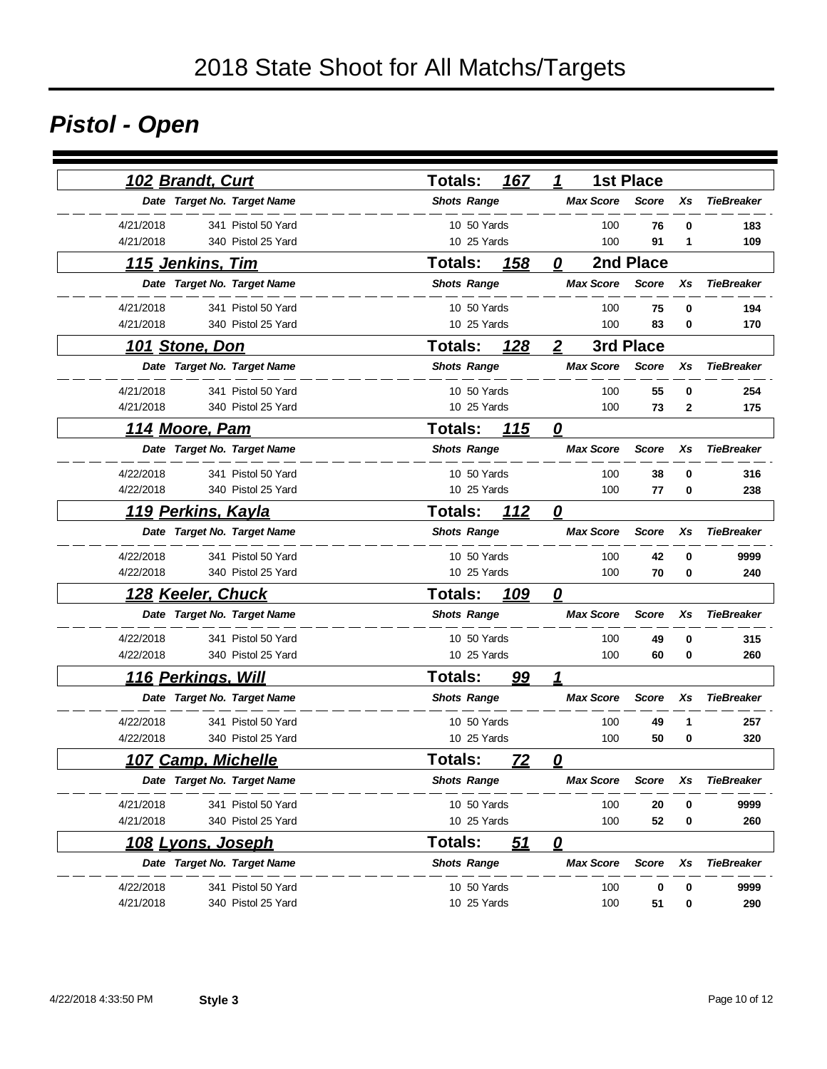# *Pistol - Open*

| 102 Brandt, Curt                | 167<br><b>Totals:</b>         | <b>1st Place</b><br>1                  |                   |
|---------------------------------|-------------------------------|----------------------------------------|-------------------|
| Date Target No. Target Name     | <b>Shots Range</b>            | <b>Max Score</b><br><b>Score</b><br>Xs | <b>TieBreaker</b> |
| 4/21/2018<br>341 Pistol 50 Yard | 10 50 Yards                   | 100<br>76<br>0                         | 183               |
| 4/21/2018<br>340 Pistol 25 Yard | 10 25 Yards                   | 100<br>91<br>1                         | 109               |
| <u>115 Jenkins, Tim</u>         | <b>Totals:</b><br><u> 158</u> | 2nd Place<br>0                         |                   |
| Date Target No. Target Name     | <b>Shots Range</b>            | <b>Max Score</b><br><b>Score</b><br>Xs | <b>TieBreaker</b> |
| 4/21/2018<br>341 Pistol 50 Yard | 10 50 Yards                   | 0<br>100<br>75                         | 194               |
| 4/21/2018<br>340 Pistol 25 Yard | 10 25 Yards                   | 100<br>83<br>0                         | 170               |
| 101 Stone, Don                  | <b>Totals:</b><br><u>128</u>  | 3rd Place<br>$\mathbf{2}$              |                   |
| Date Target No. Target Name     | <b>Shots Range</b>            | <b>Max Score</b><br><b>Score</b><br>Xs | <b>TieBreaker</b> |
| 4/21/2018<br>341 Pistol 50 Yard | 10 50 Yards                   | 100<br>55<br>0                         | 254               |
| 4/21/2018<br>340 Pistol 25 Yard | 10 25 Yards                   | 100<br>73<br>2                         | 175               |
| <u>114 Moore, Pam</u>           | <b>Totals:</b><br>115         | $\overline{\mathbf{0}}$                |                   |
| Date Target No. Target Name     | <b>Shots Range</b>            | <b>Max Score</b><br><b>Score</b><br>Xs | <b>TieBreaker</b> |
| 4/22/2018<br>341 Pistol 50 Yard | 10 50 Yards                   | 100<br>38<br>$\bf{0}$                  | 316               |
| 4/22/2018<br>340 Pistol 25 Yard | 10 25 Yards                   | 100<br>77<br>0                         | 238               |
| <u> 119 Perkins, Kayla</u>      | 112<br><b>Totals:</b>         | $\boldsymbol{\varrho}$                 |                   |
| Date Target No. Target Name     | <b>Shots Range</b>            | <b>Max Score</b><br><b>Score</b><br>Xs | <b>TieBreaker</b> |
| 4/22/2018<br>341 Pistol 50 Yard | 10 50 Yards                   | 100<br>42<br>0                         | 9999              |
| 340 Pistol 25 Yard<br>4/22/2018 | 10 25 Yards                   | 100<br>70<br>$\bf{0}$                  | 240               |
| <u> 128 Keeler, Chuck</u>       | <b>Totals:</b><br>109         | $\overline{\mathbf{0}}$                |                   |
| Date Target No. Target Name     | <b>Shots Range</b>            | <b>Max Score</b><br>Xs<br><b>Score</b> | <b>TieBreaker</b> |
| 4/22/2018<br>341 Pistol 50 Yard | 10 50 Yards                   | 100<br>49<br>0                         | 315               |
| 4/22/2018<br>340 Pistol 25 Yard | 10 25 Yards                   | 100<br>60<br>0                         | 260               |
| <u>116 Perkings, Will</u>       | <b>Totals:</b><br><u>99</u>   | 1                                      |                   |
| Date Target No. Target Name     | <b>Shots Range</b>            | <b>Max Score</b><br><b>Score</b><br>Xs | <b>TieBreaker</b> |
| 4/22/2018<br>341 Pistol 50 Yard | 10 50 Yards                   | 100<br>49<br>1                         | 257               |
| 4/22/2018<br>340 Pistol 25 Yard | 10 25 Yards                   | 100<br>50<br>0                         | 320               |
| <u> 107 Camp, Michelle</u>      | <b>Totals:</b><br><u>72</u>   | $\overline{\mathbf{0}}$                |                   |
| Date Target No. Target Name     | <b>Shots Range</b>            | <b>Max Score</b><br><b>Score</b><br>Xs | <b>TieBreaker</b> |
| 4/21/2018<br>341 Pistol 50 Yard | 10 50 Yards                   | 100<br>20<br>0                         | 9999              |
| 4/21/2018<br>340 Pistol 25 Yard | 10 25 Yards                   | 100<br>52<br>0                         | 260               |
| <u>108 Lyons, Joseph</u>        | <u>51</u><br><b>Totals:</b>   | $\mathbf{Q}$                           |                   |
| Date Target No. Target Name     | <b>Shots Range</b>            | <b>Max Score</b><br><b>Score</b><br>Xs | <b>TieBreaker</b> |
| 4/22/2018<br>341 Pistol 50 Yard | 10 50 Yards                   | 100<br>0<br>0                          | 9999              |
| 4/21/2018<br>340 Pistol 25 Yard | 10 25 Yards                   | 100<br>51<br>0                         | 290               |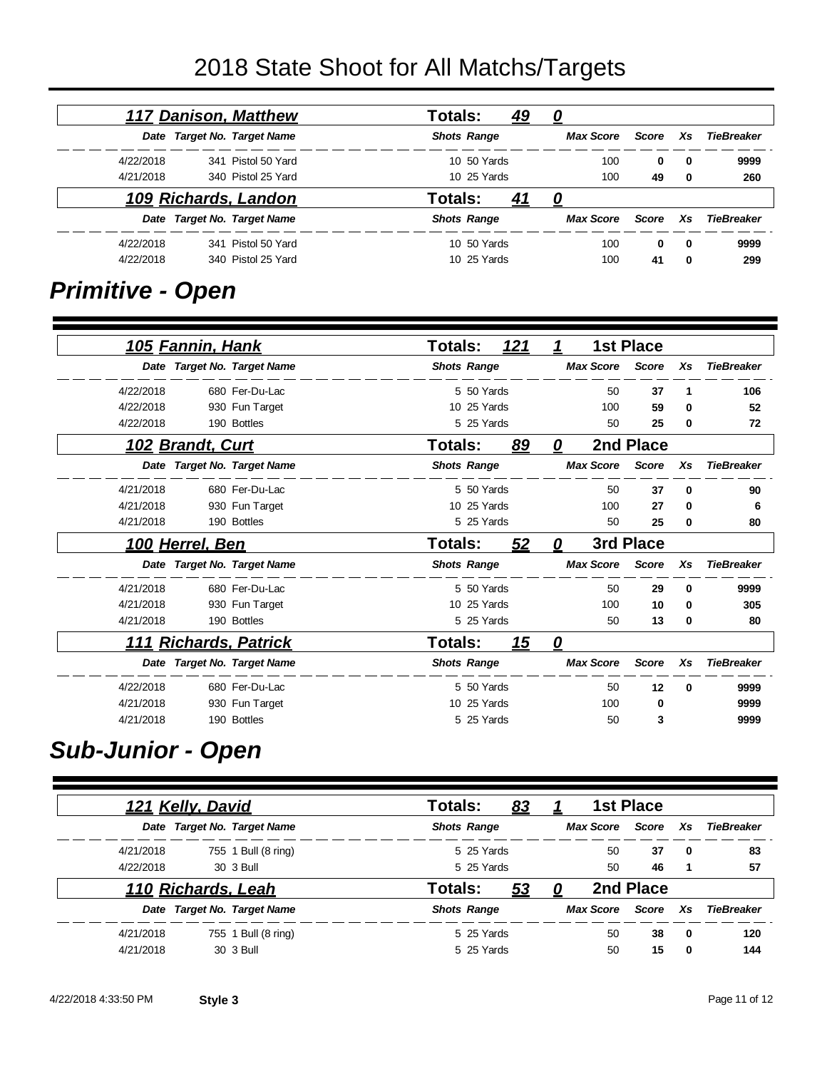# 2018 State Shoot for All Matchs/Targets

|            |     |       |                  | Totals:<br><u>49</u> | <b>117 Danison, Matthew</b> |           |
|------------|-----|-------|------------------|----------------------|-----------------------------|-----------|
| TieBreaker | Xs. | Score | <b>Max Score</b> | <b>Shots Range</b>   | Date Target No. Target Name |           |
| 9999       | 0   | 0     | 100              | 10 50 Yards          | 341 Pistol 50 Yard          | 4/22/2018 |
| 260        | 0   | 49    | 100              | 10 25 Yards          | 340 Pistol 25 Yard          | 4/21/2018 |
|            |     |       |                  | Totals:<br><u>41</u> | 109 Richards, Landon        |           |
| TieBreaker | Xs. | Score | <b>Max Score</b> | <b>Shots Range</b>   | Date Target No. Target Name |           |
| 9999       | 0   | 0     | 100              | 10 50 Yards          | 341 Pistol 50 Yard          | 4/22/2018 |
| 299        | 0   | 41    | 100              | 10 25 Yards          | 340 Pistol 25 Yard          | 4/22/2018 |

## *Primitive - Open*

|                   |          | <b>1st Place</b> |                  | 1            | <u>121</u> |                    | <b>Totals:</b> |                             | 105 Fannin, Hank        |           |
|-------------------|----------|------------------|------------------|--------------|------------|--------------------|----------------|-----------------------------|-------------------------|-----------|
| <b>TieBreaker</b> | Xs       | <b>Score</b>     | <b>Max Score</b> |              |            | <b>Shots Range</b> |                | Date Target No. Target Name |                         |           |
| 106               | 1        | 37               | 50               |              |            | 5 50 Yards         |                | 680 Fer-Du-Lac              |                         | 4/22/2018 |
| 52                | 0        | 59               | 100              |              |            | 10 25 Yards        |                | 930 Fun Target              |                         | 4/22/2018 |
| 72                | 0        | 25               | 50               |              |            | 5 25 Yards         |                | 190 Bottles                 |                         | 4/22/2018 |
|                   |          | 2nd Place        |                  | 0            | 89         |                    | Totals:        |                             | 102 Brandt, Curt        |           |
| <b>TieBreaker</b> | Xs       | <b>Score</b>     | <b>Max Score</b> |              |            | <b>Shots Range</b> |                | Date Target No. Target Name |                         |           |
| 90                | $\bf{0}$ | 37               | 50               |              |            | 5 50 Yards         |                | 680 Fer-Du-Lac              |                         | 4/21/2018 |
| 6                 | 0        | 27               | 100              |              |            | 10 25 Yards        |                | 930 Fun Target              |                         | 4/21/2018 |
| 80                | 0        | 25               | 50               |              |            | 5 25 Yards         |                | 190 Bottles                 |                         | 4/21/2018 |
|                   |          | 3rd Place        |                  | 0            | 52         |                    | Totals:        |                             | <u> 100 Herrel, Ben</u> |           |
| <b>TieBreaker</b> | Xs       | <b>Score</b>     | <b>Max Score</b> |              |            | <b>Shots Range</b> |                | Date Target No. Target Name |                         |           |
| 9999              | 0        | 29               | 50               |              |            | 5 50 Yards         |                | 680 Fer-Du-Lac              |                         | 4/21/2018 |
| 305               | 0        | 10               | 100              |              |            | 10 25 Yards        |                | 930 Fun Target              |                         | 4/21/2018 |
| 80                | 0        | 13               | 50               |              |            | 5 25 Yards         |                | 190 Bottles                 |                         | 4/21/2018 |
|                   |          |                  |                  | $\mathbf{Q}$ | 15         |                    | <b>Totals:</b> | <b>Richards, Patrick</b>    |                         | 111       |
| <b>TieBreaker</b> | Xs       | <b>Score</b>     | <b>Max Score</b> |              |            | <b>Shots Range</b> |                | Date Target No. Target Name |                         |           |
| 9999              | 0        | 12               | 50               |              |            | 5 50 Yards         |                | 680 Fer-Du-Lac              |                         | 4/22/2018 |
| 9999              |          | 0                | 100              |              |            | 10 25 Yards        |                | 930 Fun Target              |                         | 4/21/2018 |
| 9999              |          | 3                | 50               |              |            | 5 25 Yards         |                | 190 Bottles                 |                         | 4/21/2018 |

#### *Sub-Junior - Open*

|           | 121 Kelly, David   |                             | Totals:            | <u>83</u>  |                  | <b>1st Place</b> |             |            |
|-----------|--------------------|-----------------------------|--------------------|------------|------------------|------------------|-------------|------------|
|           |                    | Date Target No. Target Name | <b>Shots Range</b> |            | <b>Max Score</b> | Score            | Xs          | TieBreaker |
| 4/21/2018 |                    | 755 1 Bull (8 ring)         |                    | 5 25 Yards | 50               | 37               | $\mathbf 0$ | 83         |
| 4/22/2018 |                    | 30 3 Bull                   | 5 25 Yards         |            | 50               | 46               |             | 57         |
|           | 110 Richards, Leah |                             | Totals:            | <u>53</u>  |                  | 2nd Place        |             |            |
|           |                    | Date Target No. Target Name | <b>Shots Range</b> |            | <b>Max Score</b> | Score            | Xs.         | TieBreaker |
| 4/21/2018 |                    | 755 1 Bull (8 ring)         |                    | 5 25 Yards | 50               | 38               | $\mathbf 0$ | 120        |
| 4/21/2018 |                    | 30 3 Bull                   |                    | 5 25 Yards | 50               | 15               | $\Omega$    | 144        |

٠